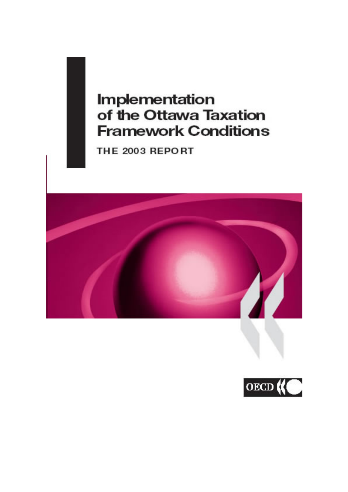# **Implementation** of the Ottawa Taxation **Framework Conditions**

THE 2003 REPORT



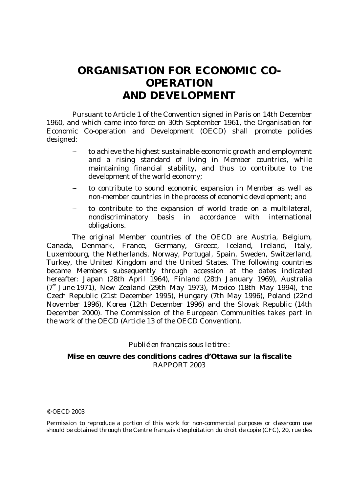# **ORGANISATION FOR ECONOMIC CO-OPERATION AND DEVELOPMENT**

 Pursuant to Article 1 of the Convention signed in Paris on 14th December 1960, and which came into force on 30th September 1961, the Organisation for Economic Co-operation and Development (OECD) shall promote policies designed:

- to achieve the highest sustainable economic growth and employment and a rising standard of living in Member countries, while maintaining financial stability, and thus to contribute to the development of the world economy;
- to contribute to sound economic expansion in Member as well as non-member countries in the process of economic development; and
- to contribute to the expansion of world trade on a multilateral, nondiscriminatory basis in accordance with international obligations.

 The original Member countries of the OECD are Austria, Belgium, Canada, Denmark, France, Germany, Greece, Iceland, Ireland, Italy, Luxembourg, the Netherlands, Norway, Portugal, Spain, Sweden, Switzerland, Turkey, the United Kingdom and the United States. The following countries became Members subsequently through accession at the dates indicated hereafter: Japan (28th April 1964), Finland (28th January 1969), Australia  $(7<sup>th</sup>$  June 1971), New Zealand (29th May 1973), Mexico (18th May 1994), the Czech Republic (21st December 1995), Hungary (7th May 1996), Poland (22nd November 1996), Korea (12th December 1996) and the Slovak Republic (14th December 2000). The Commission of the European Communities takes part in the work of the OECD (Article 13 of the OECD Convention).

#### *Publié en français sous le titre :*

#### **Mise en œuvre des conditions cadres d'Ottawa sur la fiscalite**  RAPPORT 2003

<sup>©</sup> OECD 2003

Permission to reproduce a portion of this work for non-commercial purposes or classroom use should be obtained through the Centre français d'exploitation du droit de copie (CFC), 20, rue des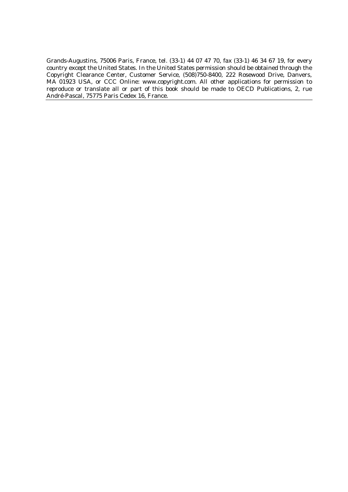Grands-Augustins, 75006 Paris, France, tel. (33-1) 44 07 47 70, fax (33-1) 46 34 67 19, for every country except the United States. In the United States permission should be obtained through the Copyright Clearance Center, Customer Service, (508)750-8400, 222 Rosewood Drive, Danvers, MA 01923 USA, or CCC Online: *www.copyright.com*. All other applications for permission to reproduce or translate all or part of this book should be made to OECD Publications, 2, rue André-Pascal, 75775 Paris Cedex 16, France.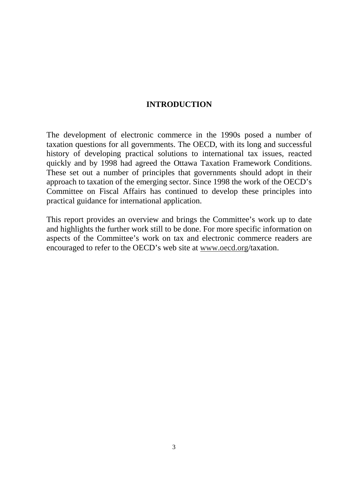#### **INTRODUCTION**

The development of electronic commerce in the 1990s posed a number of taxation questions for all governments. The OECD, with its long and successful history of developing practical solutions to international tax issues, reacted quickly and by 1998 had agreed the Ottawa Taxation Framework Conditions. These set out a number of principles that governments should adopt in their approach to taxation of the emerging sector. Since 1998 the work of the OECD's Committee on Fiscal Affairs has continued to develop these principles into practical guidance for international application.

This report provides an overview and brings the Committee's work up to date and highlights the further work still to be done. For more specific information on aspects of the Committee's work on tax and electronic commerce readers are encouraged to refer to the OECD's web site at www.oecd.org/taxation.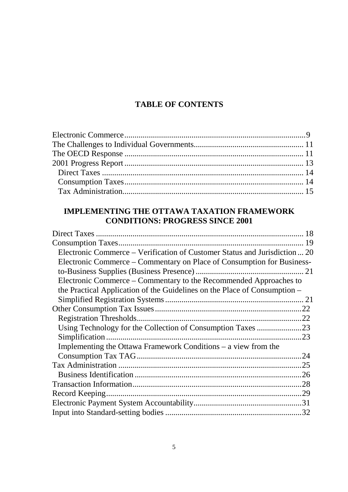## **TABLE OF CONTENTS**

## **IMPLEMENTING THE OTTAWA TAXATION FRAMEWORK CONDITIONS: PROGRESS SINCE 2001**

| Electronic Commerce – Verification of Customer Status and Jurisdiction  20 |  |
|----------------------------------------------------------------------------|--|
| Electronic Commerce – Commentary on Place of Consumption for Business-     |  |
|                                                                            |  |
| Electronic Commerce – Commentary to the Recommended Approaches to          |  |
| the Practical Application of the Guidelines on the Place of Consumption –  |  |
|                                                                            |  |
|                                                                            |  |
|                                                                            |  |
|                                                                            |  |
|                                                                            |  |
| Implementing the Ottawa Framework Conditions – a view from the             |  |
|                                                                            |  |
|                                                                            |  |
|                                                                            |  |
|                                                                            |  |
|                                                                            |  |
|                                                                            |  |
|                                                                            |  |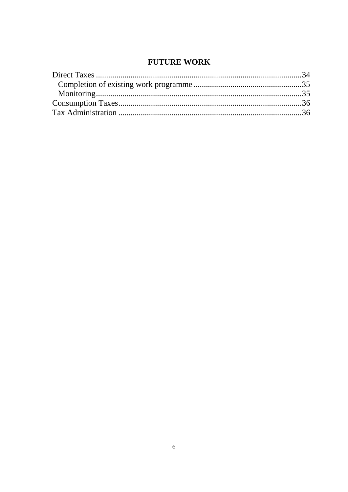## **FUTURE WORK**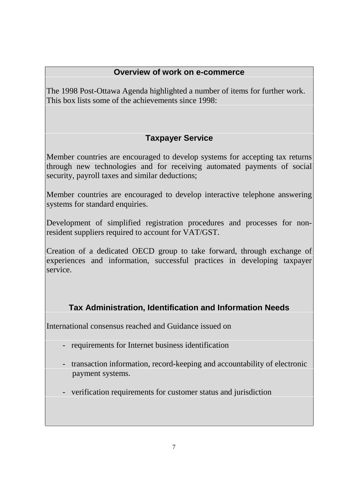## **Overview of work on e-commerce**

The 1998 Post-Ottawa Agenda highlighted a number of items for further work. This box lists some of the achievements since  $1998$ 

# **Taxpayer Service**

Member countries are encouraged to develop systems for accepting tax returns through new technologies and for receiving automated payments of social security, payroll taxes and similar deductions;

Member countries are encouraged to develop interactive telephone answering systems for standard enquiries.

Development of simplified registration procedures and processes for nonresident suppliers required to account for VAT/GST.

Creation of a dedicated OECD group to take forward, through exchange of experiences and information, successful practices in developing taxpayer service.

# **Tax Administration, Identification and Information Needs**

International consensus reached and Guidance issued on

- requirements for Internet business identification
- transaction information, record-keeping and accountability of electronic payment systems.
- verification requirements for customer status and jurisdiction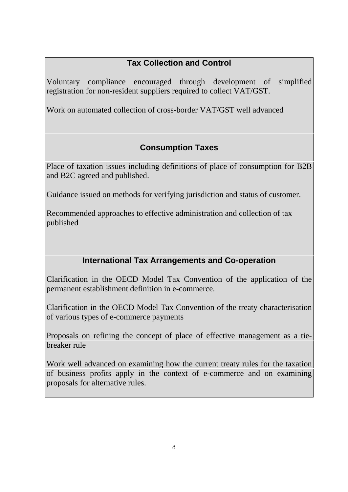# **Tax Collection and Control**

Voluntary compliance encouraged through development of simplified registration for non-resident suppliers required to collect VAT/GST.

Work on automated collection of cross-border VAT/GST well advanced

# **Consumption Taxes**

Place of taxation issues including definitions of place of consumption for B2B and B2C agreed and published.

Guidance issued on methods for verifying jurisdiction and status of customer.

Recommended approaches to effective administration and collection of tax published

# **International Tax Arrangements and Co-operation**

Clarification in the OECD Model Tax Convention of the application of the permanent establishment definition in e-commerce.

Clarification in the OECD Model Tax Convention of the treaty characterisation of various types of e-commerce payments

Proposals on refining the concept of place of effective management as a tiebreaker rule

Work well advanced on examining how the current treaty rules for the taxation of business profits apply in the context of e-commerce and on examining proposals for alternative rules.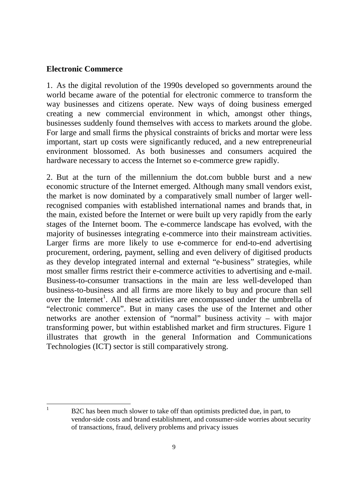#### **Electronic Commerce**

1. As the digital revolution of the 1990s developed so governments around the world became aware of the potential for electronic commerce to transform the way businesses and citizens operate. New ways of doing business emerged creating a new commercial environment in which, amongst other things, businesses suddenly found themselves with access to markets around the globe. For large and small firms the physical constraints of bricks and mortar were less important, start up costs were significantly reduced, and a new entrepreneurial environment blossomed. As both businesses and consumers acquired the hardware necessary to access the Internet so e-commerce grew rapidly.

2. But at the turn of the millennium the dot.com bubble burst and a new economic structure of the Internet emerged. Although many small vendors exist, the market is now dominated by a comparatively small number of larger wellrecognised companies with established international names and brands that, in the main, existed before the Internet or were built up very rapidly from the early stages of the Internet boom. The e-commerce landscape has evolved, with the majority of businesses integrating e-commerce into their mainstream activities. Larger firms are more likely to use e-commerce for end-to-end advertising procurement, ordering, payment, selling and even delivery of digitised products as they develop integrated internal and external "e-business" strategies, while most smaller firms restrict their e-commerce activities to advertising and e-mail. Business-to-consumer transactions in the main are less well-developed than business-to-business and all firms are more likely to buy and procure than sell over the Internet<sup>1</sup>. All these activities are encompassed under the umbrella of "electronic commerce". But in many cases the use of the Internet and other networks are another extension of "normal" business activity – with major transforming power, but within established market and firm structures. Figure 1 illustrates that growth in the general Information and Communications Technologies (ICT) sector is still comparatively strong.

 $\frac{1}{1}$  B2C has been much slower to take off than optimists predicted due, in part, to vendor-side costs and brand establishment, and consumer-side worries about security of transactions, fraud, delivery problems and privacy issues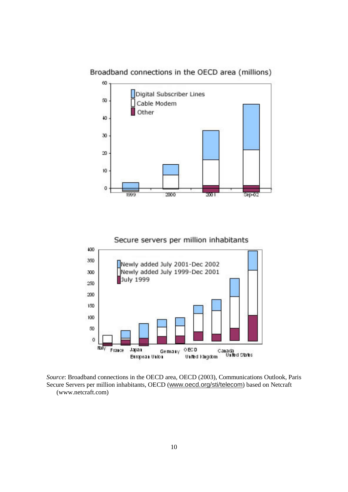Broadband connections in the OECD area (millions)







*Source*: Broadband connections in the OECD area, OECD (2003), Communications Outlook, Paris Secure Servers per million inhabitants, OECD (www.oecd.org/sti/telecom) based on Netcraft (www.netcraft.com)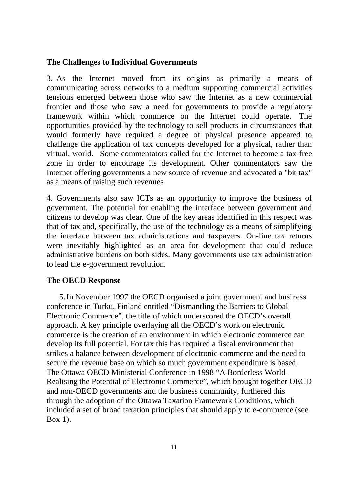#### **The Challenges to Individual Governments**

3. As the Internet moved from its origins as primarily a means of communicating across networks to a medium supporting commercial activities tensions emerged between those who saw the Internet as a new commercial frontier and those who saw a need for governments to provide a regulatory framework within which commerce on the Internet could operate. The opportunities provided by the technology to sell products in circumstances that would formerly have required a degree of physical presence appeared to challenge the application of tax concepts developed for a physical, rather than virtual, world. Some commentators called for the Internet to become a tax-free zone in order to encourage its development. Other commentators saw the Internet offering governments a new source of revenue and advocated a "bit tax" as a means of raising such revenues

4. Governments also saw ICTs as an opportunity to improve the business of government. The potential for enabling the interface between government and citizens to develop was clear. One of the key areas identified in this respect was that of tax and, specifically, the use of the technology as a means of simplifying the interface between tax administrations and taxpayers. On-line tax returns were inevitably highlighted as an area for development that could reduce administrative burdens on both sides. Many governments use tax administration to lead the e-government revolution.

#### **The OECD Response**

5. In November 1997 the OECD organised a joint government and business conference in Turku, Finland entitled "Dismantling the Barriers to Global Electronic Commerce", the title of which underscored the OECD's overall approach. A key principle overlaying all the OECD's work on electronic commerce is the creation of an environment in which electronic commerce can develop its full potential. For tax this has required a fiscal environment that strikes a balance between development of electronic commerce and the need to secure the revenue base on which so much government expenditure is based. The Ottawa OECD Ministerial Conference in 1998 "A Borderless World – Realising the Potential of Electronic Commerce", which brought together OECD and non-OECD governments and the business community, furthered this through the adoption of the Ottawa Taxation Framework Conditions, which included a set of broad taxation principles that should apply to e-commerce (see Box 1).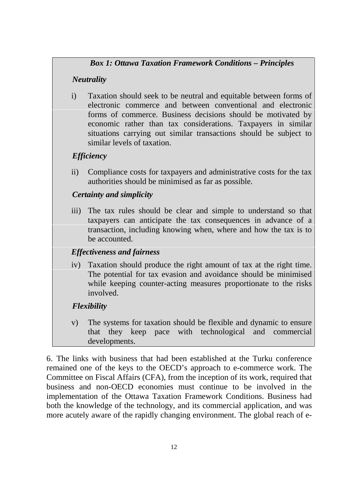#### *Box 1: Ottawa Taxation Framework Conditions – Principles*

#### *Neutrality*

i) Taxation should seek to be neutral and equitable between forms of electronic commerce and between conventional and electronic forms of commerce. Business decisions should be motivated by economic rather than tax considerations. Taxpayers in similar situations carrying out similar transactions should be subject to similar levels of taxation.

## *Efficiency*

ii) Compliance costs for taxpayers and administrative costs for the tax authorities should be minimised as far as possible.

## *Certainty and simplicity*

iii) The tax rules should be clear and simple to understand so that taxpayers can anticipate the tax consequences in advance of a transaction, including knowing when, where and how the tax is to be accounted.

## *Effectiveness and fairness*

iv) Taxation should produce the right amount of tax at the right time. The potential for tax evasion and avoidance should be minimised while keeping counter-acting measures proportionate to the risks involved.

## *Flexibility*

v) The systems for taxation should be flexible and dynamic to ensure that they keep pace with technological and commercial developments.

6. The links with business that had been established at the Turku conference remained one of the keys to the OECD's approach to e-commerce work. The Committee on Fiscal Affairs (CFA), from the inception of its work, required that business and non-OECD economies must continue to be involved in the implementation of the Ottawa Taxation Framework Conditions. Business had both the knowledge of the technology, and its commercial application, and was more acutely aware of the rapidly changing environment. The global reach of e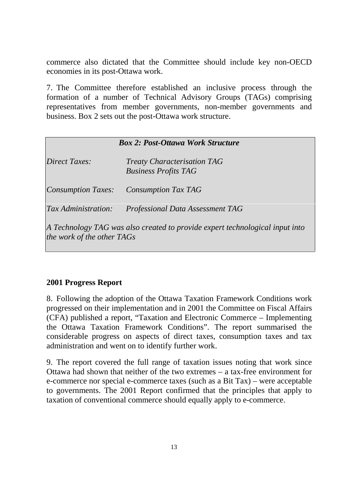commerce also dictated that the Committee should include key non-OECD economies in its post-Ottawa work.

7. The Committee therefore established an inclusive process through the formation of a number of Technical Advisory Groups (TAGs) comprising representatives from member governments, non-member governments and business. Box 2 sets out the post-Ottawa work structure.

| <b>Box 2: Post-Ottawa Work Structure</b> |  |
|------------------------------------------|--|
|------------------------------------------|--|

| <b>Direct Taxes:</b>                                                                                       | <b>Treaty Characterisation TAG</b><br><b>Business Profits TAG</b> |  |  |
|------------------------------------------------------------------------------------------------------------|-------------------------------------------------------------------|--|--|
| <b>Consumption Taxes:</b>                                                                                  | <b>Consumption Tax TAG</b>                                        |  |  |
| Tax Administration:                                                                                        | Professional Data Assessment TAG                                  |  |  |
| A Technology TAG was also created to provide expert technological input into<br>the work of the other TAGs |                                                                   |  |  |

#### **2001 Progress Report**

8. Following the adoption of the Ottawa Taxation Framework Conditions work progressed on their implementation and in 2001 the Committee on Fiscal Affairs (CFA) published a report, "Taxation and Electronic Commerce – Implementing the Ottawa Taxation Framework Conditions". The report summarised the considerable progress on aspects of direct taxes, consumption taxes and tax administration and went on to identify further work.

9. The report covered the full range of taxation issues noting that work since Ottawa had shown that neither of the two extremes – a tax-free environment for e-commerce nor special e-commerce taxes (such as a Bit Tax) – were acceptable to governments. The 2001 Report confirmed that the principles that apply to taxation of conventional commerce should equally apply to e-commerce.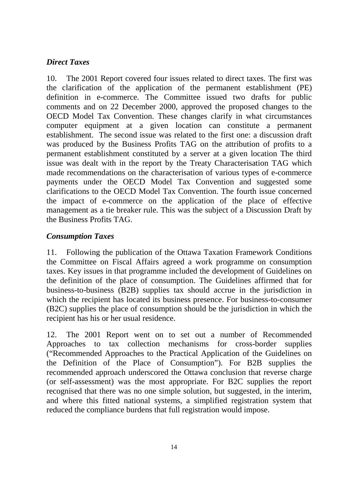## *Direct Taxes*

10. The 2001 Report covered four issues related to direct taxes. The first was the clarification of the application of the permanent establishment (PE) definition in e-commerce. The Committee issued two drafts for public comments and on 22 December 2000, approved the proposed changes to the OECD Model Tax Convention. These changes clarify in what circumstances computer equipment at a given location can constitute a permanent establishment. The second issue was related to the first one: a discussion draft was produced by the Business Profits TAG on the attribution of profits to a permanent establishment constituted by a server at a given location The third issue was dealt with in the report by the Treaty Characterisation TAG which made recommendations on the characterisation of various types of e-commerce payments under the OECD Model Tax Convention and suggested some clarifications to the OECD Model Tax Convention. The fourth issue concerned the impact of e-commerce on the application of the place of effective management as a tie breaker rule. This was the subject of a Discussion Draft by the Business Profits TAG.

## *Consumption Taxes*

11. Following the publication of the Ottawa Taxation Framework Conditions the Committee on Fiscal Affairs agreed a work programme on consumption taxes. Key issues in that programme included the development of Guidelines on the definition of the place of consumption. The Guidelines affirmed that for business-to-business (B2B) supplies tax should accrue in the jurisdiction in which the recipient has located its business presence. For business-to-consumer (B2C) supplies the place of consumption should be the jurisdiction in which the recipient has his or her usual residence.

12. The 2001 Report went on to set out a number of Recommended Approaches to tax collection mechanisms for cross-border supplies ("Recommended Approaches to the Practical Application of the Guidelines on the Definition of the Place of Consumption"). For B2B supplies the recommended approach underscored the Ottawa conclusion that reverse charge (or self-assessment) was the most appropriate. For B2C supplies the report recognised that there was no one simple solution, but suggested, in the interim, and where this fitted national systems, a simplified registration system that reduced the compliance burdens that full registration would impose.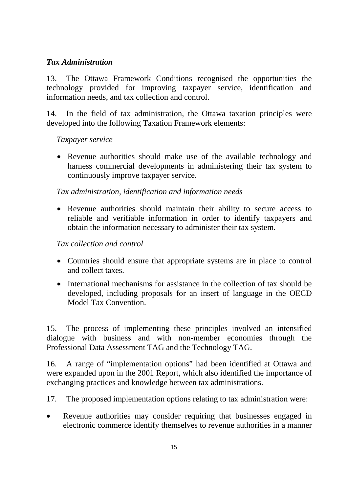#### *Tax Administration*

13. The Ottawa Framework Conditions recognised the opportunities the technology provided for improving taxpayer service, identification and information needs, and tax collection and control.

14. In the field of tax administration, the Ottawa taxation principles were developed into the following Taxation Framework elements:

#### *Taxpayer service*

• Revenue authorities should make use of the available technology and harness commercial developments in administering their tax system to continuously improve taxpayer service.

#### *Tax administration, identification and information needs*

 Revenue authorities should maintain their ability to secure access to reliable and verifiable information in order to identify taxpayers and obtain the information necessary to administer their tax system.

#### *Tax collection and control*

- Countries should ensure that appropriate systems are in place to control and collect taxes.
- International mechanisms for assistance in the collection of tax should be developed, including proposals for an insert of language in the OECD Model Tax Convention.

15. The process of implementing these principles involved an intensified dialogue with business and with non-member economies through the Professional Data Assessment TAG and the Technology TAG.

16. A range of "implementation options" had been identified at Ottawa and were expanded upon in the 2001 Report, which also identified the importance of exchanging practices and knowledge between tax administrations.

17. The proposed implementation options relating to tax administration were:

• Revenue authorities may consider requiring that businesses engaged in electronic commerce identify themselves to revenue authorities in a manner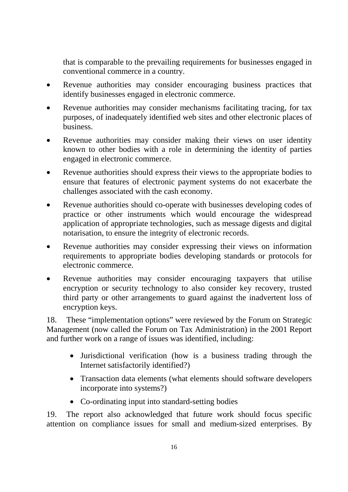that is comparable to the prevailing requirements for businesses engaged in conventional commerce in a country.

- Revenue authorities may consider encouraging business practices that identify businesses engaged in electronic commerce.
- Revenue authorities may consider mechanisms facilitating tracing, for tax purposes, of inadequately identified web sites and other electronic places of business.
- Revenue authorities may consider making their views on user identity known to other bodies with a role in determining the identity of parties engaged in electronic commerce.
- Revenue authorities should express their views to the appropriate bodies to ensure that features of electronic payment systems do not exacerbate the challenges associated with the cash economy.
- Revenue authorities should co-operate with businesses developing codes of practice or other instruments which would encourage the widespread application of appropriate technologies, such as message digests and digital notarisation, to ensure the integrity of electronic records.
- Revenue authorities may consider expressing their views on information requirements to appropriate bodies developing standards or protocols for electronic commerce.
- Revenue authorities may consider encouraging taxpayers that utilise encryption or security technology to also consider key recovery, trusted third party or other arrangements to guard against the inadvertent loss of encryption keys.

18. These "implementation options" were reviewed by the Forum on Strategic Management (now called the Forum on Tax Administration) in the 2001 Report and further work on a range of issues was identified, including:

- Jurisdictional verification (how is a business trading through the Internet satisfactorily identified?)
- Transaction data elements (what elements should software developers incorporate into systems?)
- Co-ordinating input into standard-setting bodies

19. The report also acknowledged that future work should focus specific attention on compliance issues for small and medium-sized enterprises. By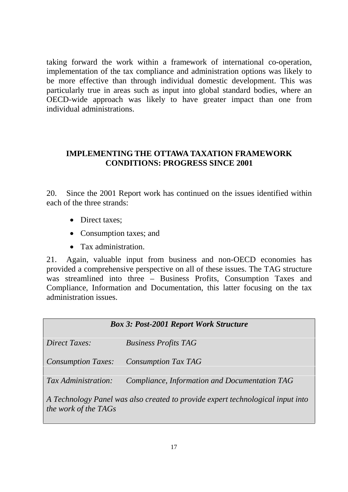taking forward the work within a framework of international co-operation, implementation of the tax compliance and administration options was likely to be more effective than through individual domestic development. This was particularly true in areas such as input into global standard bodies, where an OECD-wide approach was likely to have greater impact than one from individual administrations.

#### **IMPLEMENTING THE OTTAWA TAXATION FRAMEWORK CONDITIONS: PROGRESS SINCE 2001**

20. Since the 2001 Report work has continued on the issues identified within each of the three strands:

- Direct taxes;
- Consumption taxes; and
- Tax administration.

21. Again, valuable input from business and non-OECD economies has provided a comprehensive perspective on all of these issues. The TAG structure was streamlined into three – Business Profits, Consumption Taxes and Compliance, Information and Documentation, this latter focusing on the tax administration issues.

## *Box 3: Post-2001 Report Work Structure*

*Direct Taxes: Business Profits TAG* 

*Consumption Taxes: Consumption Tax TAG* 

*Tax Administration: Compliance, Information and Documentation TAG* 

*A Technology Panel was also created to provide expert technological input into the work of the TAGs*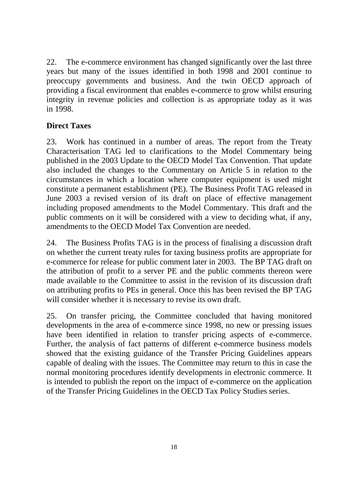22. The e-commerce environment has changed significantly over the last three years but many of the issues identified in both 1998 and 2001 continue to preoccupy governments and business. And the twin OECD approach of providing a fiscal environment that enables e-commerce to grow whilst ensuring integrity in revenue policies and collection is as appropriate today as it was in 1998.

#### **Direct Taxes**

23. Work has continued in a number of areas. The report from the Treaty Characterisation TAG led to clarifications to the Model Commentary being published in the 2003 Update to the OECD Model Tax Convention. That update also included the changes to the Commentary on Article 5 in relation to the circumstances in which a location where computer equipment is used might constitute a permanent establishment (PE). The Business Profit TAG released in June 2003 a revised version of its draft on place of effective management including proposed amendments to the Model Commentary. This draft and the public comments on it will be considered with a view to deciding what, if any, amendments to the OECD Model Tax Convention are needed.

24. The Business Profits TAG is in the process of finalising a discussion draft on whether the current treaty rules for taxing business profits are appropriate for e-commerce for release for public comment later in 2003. The BP TAG draft on the attribution of profit to a server PE and the public comments thereon were made available to the Committee to assist in the revision of its discussion draft on attributing profits to PEs in general. Once this has been revised the BP TAG will consider whether it is necessary to revise its own draft.

25. On transfer pricing, the Committee concluded that having monitored developments in the area of e-commerce since 1998, no new or pressing issues have been identified in relation to transfer pricing aspects of e-commerce. Further, the analysis of fact patterns of different e-commerce business models showed that the existing guidance of the Transfer Pricing Guidelines appears capable of dealing with the issues. The Committee may return to this in case the normal monitoring procedures identify developments in electronic commerce. It is intended to publish the report on the impact of e-commerce on the application of the Transfer Pricing Guidelines in the OECD Tax Policy Studies series.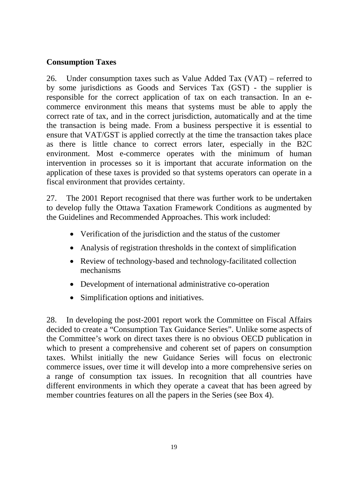#### **Consumption Taxes**

26. Under consumption taxes such as Value Added Tax (VAT) – referred to by some jurisdictions as Goods and Services Tax (GST) - the supplier is responsible for the correct application of tax on each transaction. In an ecommerce environment this means that systems must be able to apply the correct rate of tax, and in the correct jurisdiction, automatically and at the time the transaction is being made. From a business perspective it is essential to ensure that VAT/GST is applied correctly at the time the transaction takes place as there is little chance to correct errors later, especially in the B2C environment. Most e-commerce operates with the minimum of human intervention in processes so it is important that accurate information on the application of these taxes is provided so that systems operators can operate in a fiscal environment that provides certainty.

27. The 2001 Report recognised that there was further work to be undertaken to develop fully the Ottawa Taxation Framework Conditions as augmented by the Guidelines and Recommended Approaches. This work included:

- Verification of the jurisdiction and the status of the customer
- Analysis of registration thresholds in the context of simplification
- Review of technology-based and technology-facilitated collection mechanisms
- Development of international administrative co-operation
- Simplification options and initiatives.

28. In developing the post-2001 report work the Committee on Fiscal Affairs decided to create a "Consumption Tax Guidance Series". Unlike some aspects of the Committee's work on direct taxes there is no obvious OECD publication in which to present a comprehensive and coherent set of papers on consumption taxes. Whilst initially the new Guidance Series will focus on electronic commerce issues, over time it will develop into a more comprehensive series on a range of consumption tax issues. In recognition that all countries have different environments in which they operate a caveat that has been agreed by member countries features on all the papers in the Series (see Box 4).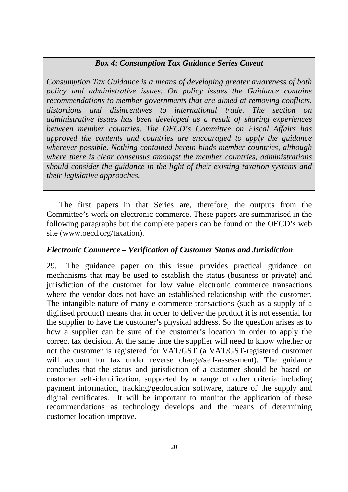#### *Box 4: Consumption Tax Guidance Series Caveat*

*Consumption Tax Guidance is a means of developing greater awareness of both policy and administrative issues. On policy issues the Guidance contains recommendations to member governments that are aimed at removing conflicts, distortions and disincentives to international trade. The section on administrative issues has been developed as a result of sharing experiences between member countries. The OECD's Committee on Fiscal Affairs has approved the contents and countries are encouraged to apply the guidance wherever possible. Nothing contained herein binds member countries, although where there is clear consensus amongst the member countries, administrations should consider the guidance in the light of their existing taxation systems and their legislative approaches.* 

The first papers in that Series are, therefore, the outputs from the Committee's work on electronic commerce. These papers are summarised in the following paragraphs but the complete papers can be found on the OECD's web site (www.oecd.org/taxation).

#### *Electronic Commerce – Verification of Customer Status and Jurisdiction*

29. The guidance paper on this issue provides practical guidance on mechanisms that may be used to establish the status (business or private) and jurisdiction of the customer for low value electronic commerce transactions where the vendor does not have an established relationship with the customer. The intangible nature of many e-commerce transactions (such as a supply of a digitised product) means that in order to deliver the product it is not essential for the supplier to have the customer's physical address. So the question arises as to how a supplier can be sure of the customer's location in order to apply the correct tax decision. At the same time the supplier will need to know whether or not the customer is registered for VAT/GST (a VAT/GST-registered customer will account for tax under reverse charge/self-assessment). The guidance concludes that the status and jurisdiction of a customer should be based on customer self-identification, supported by a range of other criteria including payment information, tracking/geolocation software, nature of the supply and digital certificates. It will be important to monitor the application of these recommendations as technology develops and the means of determining customer location improve.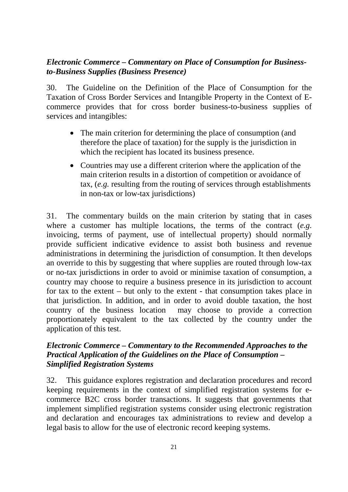#### *Electronic Commerce – Commentary on Place of Consumption for Businessto-Business Supplies (Business Presence)*

30. The Guideline on the Definition of the Place of Consumption for the Taxation of Cross Border Services and Intangible Property in the Context of Ecommerce provides that for cross border business-to-business supplies of services and intangibles:

- The main criterion for determining the place of consumption (and therefore the place of taxation) for the supply is the jurisdiction in which the recipient has located its business presence.
- Countries may use a different criterion where the application of the main criterion results in a distortion of competition or avoidance of tax, (*e.g.* resulting from the routing of services through establishments in non-tax or low-tax jurisdictions)

31. The commentary builds on the main criterion by stating that in cases where a customer has multiple locations, the terms of the contract (*e.g.* invoicing, terms of payment, use of intellectual property) should normally provide sufficient indicative evidence to assist both business and revenue administrations in determining the jurisdiction of consumption. It then develops an override to this by suggesting that where supplies are routed through low-tax or no-tax jurisdictions in order to avoid or minimise taxation of consumption, a country may choose to require a business presence in its jurisdiction to account for tax to the extent – but only to the extent - that consumption takes place in that jurisdiction. In addition, and in order to avoid double taxation, the host country of the business location may choose to provide a correction proportionately equivalent to the tax collected by the country under the application of this test.

#### *Electronic Commerce – Commentary to the Recommended Approaches to the Practical Application of the Guidelines on the Place of Consumption – Simplified Registration Systems*

32. This guidance explores registration and declaration procedures and record keeping requirements in the context of simplified registration systems for ecommerce B2C cross border transactions. It suggests that governments that implement simplified registration systems consider using electronic registration and declaration and encourages tax administrations to review and develop a legal basis to allow for the use of electronic record keeping systems.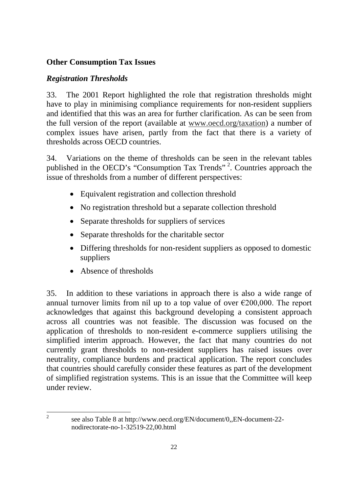#### **Other Consumption Tax Issues**

#### *Registration Thresholds*

33. The 2001 Report highlighted the role that registration thresholds might have to play in minimising compliance requirements for non-resident suppliers and identified that this was an area for further clarification. As can be seen from the full version of the report (available at www.oecd.org/taxation) a number of complex issues have arisen, partly from the fact that there is a variety of thresholds across OECD countries.

34. Variations on the theme of thresholds can be seen in the relevant tables published in the OECD's "Consumption Tax Trends" 2. Countries approach the issue of thresholds from a number of different perspectives:

- Equivalent registration and collection threshold
- No registration threshold but a separate collection threshold
- Separate thresholds for suppliers of services
- Separate thresholds for the charitable sector
- Differing thresholds for non-resident suppliers as opposed to domestic suppliers
- Absence of thresholds

 $\frac{1}{2}$ 

35. In addition to these variations in approach there is also a wide range of annual turnover limits from nil up to a top value of over  $\epsilon$ 200,000. The report acknowledges that against this background developing a consistent approach across all countries was not feasible. The discussion was focused on the application of thresholds to non-resident e-commerce suppliers utilising the simplified interim approach. However, the fact that many countries do not currently grant thresholds to non-resident suppliers has raised issues over neutrality, compliance burdens and practical application. The report concludes that countries should carefully consider these features as part of the development of simplified registration systems. This is an issue that the Committee will keep under review.

see also Table 8 at http://www.oecd.org/EN/document/0,,EN-document-22 nodirectorate-no-1-32519-22,00.html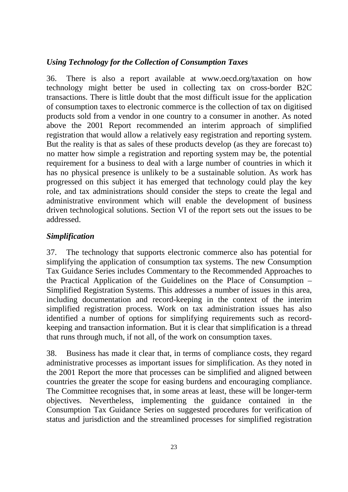#### *Using Technology for the Collection of Consumption Taxes*

36. There is also a report available at www.oecd.org/taxation on how technology might better be used in collecting tax on cross-border B2C transactions. There is little doubt that the most difficult issue for the application of consumption taxes to electronic commerce is the collection of tax on digitised products sold from a vendor in one country to a consumer in another. As noted above the 2001 Report recommended an interim approach of simplified registration that would allow a relatively easy registration and reporting system. But the reality is that as sales of these products develop (as they are forecast to) no matter how simple a registration and reporting system may be, the potential requirement for a business to deal with a large number of countries in which it has no physical presence is unlikely to be a sustainable solution. As work has progressed on this subject it has emerged that technology could play the key role, and tax administrations should consider the steps to create the legal and administrative environment which will enable the development of business driven technological solutions. Section VI of the report sets out the issues to be addressed.

#### *Simplification*

37. The technology that supports electronic commerce also has potential for simplifying the application of consumption tax systems. The new Consumption Tax Guidance Series includes Commentary to the Recommended Approaches to the Practical Application of the Guidelines on the Place of Consumption – Simplified Registration Systems. This addresses a number of issues in this area, including documentation and record-keeping in the context of the interim simplified registration process. Work on tax administration issues has also identified a number of options for simplifying requirements such as recordkeeping and transaction information. But it is clear that simplification is a thread that runs through much, if not all, of the work on consumption taxes.

38. Business has made it clear that, in terms of compliance costs, they regard administrative processes as important issues for simplification. As they noted in the 2001 Report the more that processes can be simplified and aligned between countries the greater the scope for easing burdens and encouraging compliance. The Committee recognises that, in some areas at least, these will be longer-term objectives. Nevertheless, implementing the guidance contained in the Consumption Tax Guidance Series on suggested procedures for verification of status and jurisdiction and the streamlined processes for simplified registration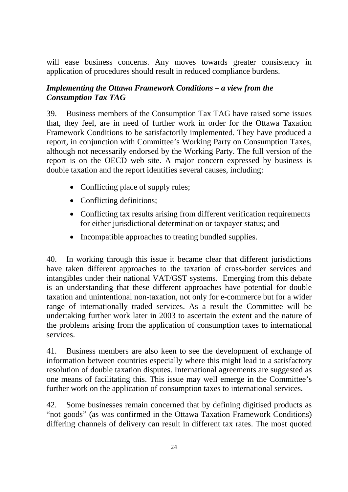will ease business concerns. Any moves towards greater consistency in application of procedures should result in reduced compliance burdens.

#### *Implementing the Ottawa Framework Conditions – a view from the Consumption Tax TAG*

39. Business members of the Consumption Tax TAG have raised some issues that, they feel, are in need of further work in order for the Ottawa Taxation Framework Conditions to be satisfactorily implemented. They have produced a report, in conjunction with Committee's Working Party on Consumption Taxes, although not necessarily endorsed by the Working Party. The full version of the report is on the OECD web site. A major concern expressed by business is double taxation and the report identifies several causes, including:

- Conflicting place of supply rules;
- Conflicting definitions;
- Conflicting tax results arising from different verification requirements for either jurisdictional determination or taxpayer status; and
- Incompatible approaches to treating bundled supplies.

40. In working through this issue it became clear that different jurisdictions have taken different approaches to the taxation of cross-border services and intangibles under their national VAT/GST systems. Emerging from this debate is an understanding that these different approaches have potential for double taxation and unintentional non-taxation, not only for e-commerce but for a wider range of internationally traded services. As a result the Committee will be undertaking further work later in 2003 to ascertain the extent and the nature of the problems arising from the application of consumption taxes to international services.

41. Business members are also keen to see the development of exchange of information between countries especially where this might lead to a satisfactory resolution of double taxation disputes. International agreements are suggested as one means of facilitating this. This issue may well emerge in the Committee's further work on the application of consumption taxes to international services.

42. Some businesses remain concerned that by defining digitised products as "not goods" (as was confirmed in the Ottawa Taxation Framework Conditions) differing channels of delivery can result in different tax rates. The most quoted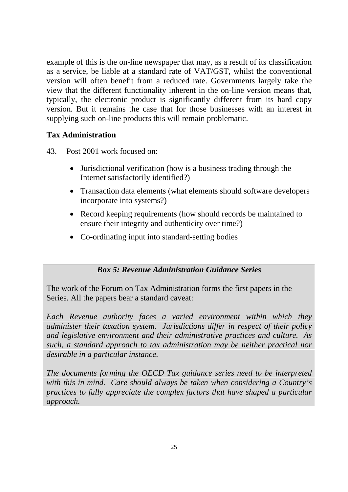example of this is the on-line newspaper that may, as a result of its classification as a service, be liable at a standard rate of VAT/GST, whilst the conventional version will often benefit from a reduced rate. Governments largely take the view that the different functionality inherent in the on-line version means that, typically, the electronic product is significantly different from its hard copy version. But it remains the case that for those businesses with an interest in supplying such on-line products this will remain problematic.

#### **Tax Administration**

- 43. Post 2001 work focused on:
	- Jurisdictional verification (how is a business trading through the Internet satisfactorily identified?)
	- Transaction data elements (what elements should software developers incorporate into systems?)
	- Record keeping requirements (how should records be maintained to ensure their integrity and authenticity over time?)
	- Co-ordinating input into standard-setting bodies

#### *Box 5: Revenue Administration Guidance Series*

The work of the Forum on Tax Administration forms the first papers in the Series. All the papers bear a standard caveat:

*Each Revenue authority faces a varied environment within which they administer their taxation system. Jurisdictions differ in respect of their policy and legislative environment and their administrative practices and culture. As such, a standard approach to tax administration may be neither practical nor desirable in a particular instance.* 

*The documents forming the OECD Tax guidance series need to be interpreted with this in mind. Care should always be taken when considering a Country's practices to fully appreciate the complex factors that have shaped a particular approach.*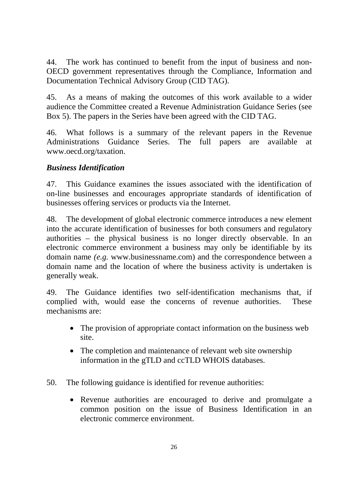44. The work has continued to benefit from the input of business and non-OECD government representatives through the Compliance, Information and Documentation Technical Advisory Group (CID TAG).

45. As a means of making the outcomes of this work available to a wider audience the Committee created a Revenue Administration Guidance Series (see Box 5). The papers in the Series have been agreed with the CID TAG.

46. What follows is a summary of the relevant papers in the Revenue Administrations Guidance Series. The full papers are available at www.oecd.org/taxation.

#### *Business Identification*

47. This Guidance examines the issues associated with the identification of on-line businesses and encourages appropriate standards of identification of businesses offering services or products via the Internet.

48. The development of global electronic commerce introduces a new element into the accurate identification of businesses for both consumers and regulatory authorities – the physical business is no longer directly observable. In an electronic commerce environment a business may only be identifiable by its domain name *(e.g.* www.businessname.com) and the correspondence between a domain name and the location of where the business activity is undertaken is generally weak.

49. The Guidance identifies two self-identification mechanisms that, if complied with, would ease the concerns of revenue authorities. These mechanisms are:

- The provision of appropriate contact information on the business web site.
- The completion and maintenance of relevant web site ownership information in the gTLD and ccTLD WHOIS databases.
- 50. The following guidance is identified for revenue authorities:
	- Revenue authorities are encouraged to derive and promulgate a common position on the issue of Business Identification in an electronic commerce environment.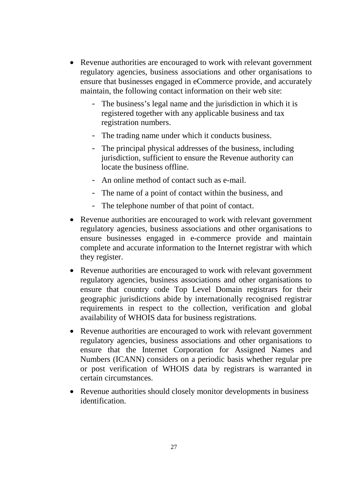- Revenue authorities are encouraged to work with relevant government regulatory agencies, business associations and other organisations to ensure that businesses engaged in eCommerce provide, and accurately maintain, the following contact information on their web site:
	- The business's legal name and the jurisdiction in which it is registered together with any applicable business and tax registration numbers.
	- The trading name under which it conducts business.
	- The principal physical addresses of the business, including jurisdiction, sufficient to ensure the Revenue authority can locate the business offline.
	- An online method of contact such as e-mail.
	- The name of a point of contact within the business, and
	- The telephone number of that point of contact.
- Revenue authorities are encouraged to work with relevant government regulatory agencies, business associations and other organisations to ensure businesses engaged in e-commerce provide and maintain complete and accurate information to the Internet registrar with which they register.
- Revenue authorities are encouraged to work with relevant government regulatory agencies, business associations and other organisations to ensure that country code Top Level Domain registrars for their geographic jurisdictions abide by internationally recognised registrar requirements in respect to the collection, verification and global availability of WHOIS data for business registrations.
- Revenue authorities are encouraged to work with relevant government regulatory agencies, business associations and other organisations to ensure that the Internet Corporation for Assigned Names and Numbers (ICANN) considers on a periodic basis whether regular pre or post verification of WHOIS data by registrars is warranted in certain circumstances.
- Revenue authorities should closely monitor developments in business identification.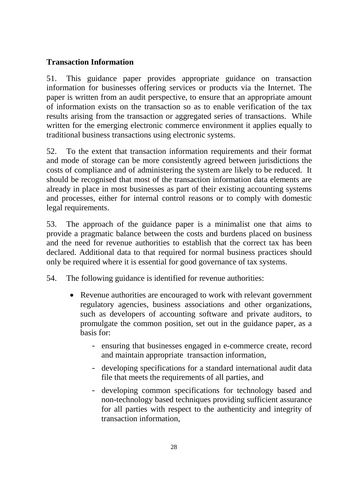#### **Transaction Information**

51. This guidance paper provides appropriate guidance on transaction information for businesses offering services or products via the Internet. The paper is written from an audit perspective, to ensure that an appropriate amount of information exists on the transaction so as to enable verification of the tax results arising from the transaction or aggregated series of transactions. While written for the emerging electronic commerce environment it applies equally to traditional business transactions using electronic systems.

52. To the extent that transaction information requirements and their format and mode of storage can be more consistently agreed between jurisdictions the costs of compliance and of administering the system are likely to be reduced. It should be recognised that most of the transaction information data elements are already in place in most businesses as part of their existing accounting systems and processes, either for internal control reasons or to comply with domestic legal requirements.

53. The approach of the guidance paper is a minimalist one that aims to provide a pragmatic balance between the costs and burdens placed on business and the need for revenue authorities to establish that the correct tax has been declared. Additional data to that required for normal business practices should only be required where it is essential for good governance of tax systems.

- 54. The following guidance is identified for revenue authorities:
	- Revenue authorities are encouraged to work with relevant government regulatory agencies, business associations and other organizations, such as developers of accounting software and private auditors, to promulgate the common position, set out in the guidance paper, as a basis for:
		- ensuring that businesses engaged in e-commerce create, record and maintain appropriate transaction information,
		- developing specifications for a standard international audit data file that meets the requirements of all parties, and
		- developing common specifications for technology based and non-technology based techniques providing sufficient assurance for all parties with respect to the authenticity and integrity of transaction information,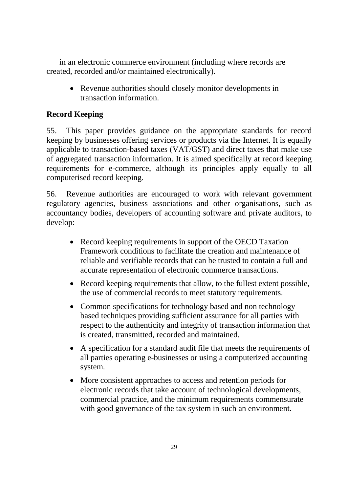in an electronic commerce environment (including where records are created, recorded and/or maintained electronically).

• Revenue authorities should closely monitor developments in transaction information.

## **Record Keeping**

55. This paper provides guidance on the appropriate standards for record keeping by businesses offering services or products via the Internet. It is equally applicable to transaction-based taxes (VAT/GST) and direct taxes that make use of aggregated transaction information. It is aimed specifically at record keeping requirements for e-commerce, although its principles apply equally to all computerised record keeping.

56. Revenue authorities are encouraged to work with relevant government regulatory agencies, business associations and other organisations, such as accountancy bodies, developers of accounting software and private auditors, to develop:

- Record keeping requirements in support of the OECD Taxation Framework conditions to facilitate the creation and maintenance of reliable and verifiable records that can be trusted to contain a full and accurate representation of electronic commerce transactions.
- Record keeping requirements that allow, to the fullest extent possible, the use of commercial records to meet statutory requirements.
- Common specifications for technology based and non technology based techniques providing sufficient assurance for all parties with respect to the authenticity and integrity of transaction information that is created, transmitted, recorded and maintained.
- A specification for a standard audit file that meets the requirements of all parties operating e-businesses or using a computerized accounting system.
- More consistent approaches to access and retention periods for electronic records that take account of technological developments, commercial practice, and the minimum requirements commensurate with good governance of the tax system in such an environment.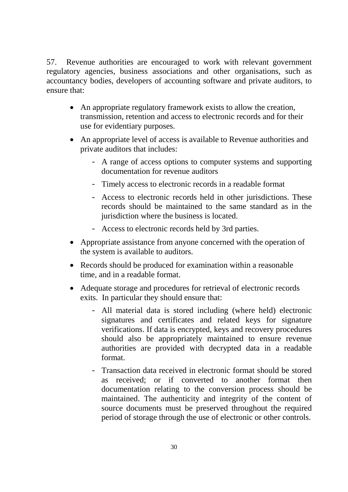57. Revenue authorities are encouraged to work with relevant government regulatory agencies, business associations and other organisations, such as accountancy bodies, developers of accounting software and private auditors, to ensure that:

- An appropriate regulatory framework exists to allow the creation, transmission, retention and access to electronic records and for their use for evidentiary purposes.
- An appropriate level of access is available to Revenue authorities and private auditors that includes:
	- A range of access options to computer systems and supporting documentation for revenue auditors
	- Timely access to electronic records in a readable format
	- Access to electronic records held in other jurisdictions. These records should be maintained to the same standard as in the jurisdiction where the business is located.
	- Access to electronic records held by 3rd parties.
- Appropriate assistance from anyone concerned with the operation of the system is available to auditors.
- Records should be produced for examination within a reasonable time, and in a readable format.
- Adequate storage and procedures for retrieval of electronic records exits. In particular they should ensure that:
	- All material data is stored including (where held) electronic signatures and certificates and related keys for signature verifications. If data is encrypted, keys and recovery procedures should also be appropriately maintained to ensure revenue authorities are provided with decrypted data in a readable format.
	- Transaction data received in electronic format should be stored as received; or if converted to another format then documentation relating to the conversion process should be maintained. The authenticity and integrity of the content of source documents must be preserved throughout the required period of storage through the use of electronic or other controls.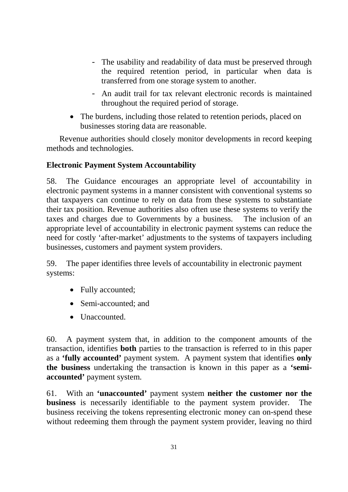- The usability and readability of data must be preserved through the required retention period, in particular when data is transferred from one storage system to another.
- An audit trail for tax relevant electronic records is maintained throughout the required period of storage.
- The burdens, including those related to retention periods, placed on businesses storing data are reasonable.

Revenue authorities should closely monitor developments in record keeping methods and technologies.

#### **Electronic Payment System Accountability**

58. The Guidance encourages an appropriate level of accountability in electronic payment systems in a manner consistent with conventional systems so that taxpayers can continue to rely on data from these systems to substantiate their tax position. Revenue authorities also often use these systems to verify the taxes and charges due to Governments by a business. The inclusion of an appropriate level of accountability in electronic payment systems can reduce the need for costly 'after-market' adjustments to the systems of taxpayers including businesses, customers and payment system providers.

59. The paper identifies three levels of accountability in electronic payment systems:

- Fully accounted;
- Semi-accounted; and
- Unaccounted.

60. A payment system that, in addition to the component amounts of the transaction, identifies **both** parties to the transaction is referred to in this paper as a **'fully accounted'** payment system. A payment system that identifies **only the business** undertaking the transaction is known in this paper as a **'semiaccounted'** payment system.

61. With an **'unaccounted'** payment system **neither the customer nor the business** is necessarily identifiable to the payment system provider. The business receiving the tokens representing electronic money can on-spend these without redeeming them through the payment system provider, leaving no third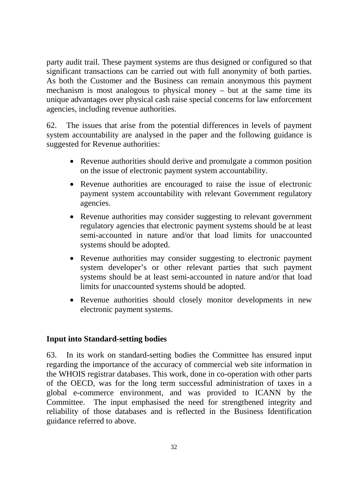party audit trail. These payment systems are thus designed or configured so that significant transactions can be carried out with full anonymity of both parties. As both the Customer and the Business can remain anonymous this payment mechanism is most analogous to physical money – but at the same time its unique advantages over physical cash raise special concerns for law enforcement agencies, including revenue authorities.

62. The issues that arise from the potential differences in levels of payment system accountability are analysed in the paper and the following guidance is suggested for Revenue authorities:

- Revenue authorities should derive and promulgate a common position on the issue of electronic payment system accountability.
- Revenue authorities are encouraged to raise the issue of electronic payment system accountability with relevant Government regulatory agencies.
- Revenue authorities may consider suggesting to relevant government regulatory agencies that electronic payment systems should be at least semi-accounted in nature and/or that load limits for unaccounted systems should be adopted.
- Revenue authorities may consider suggesting to electronic payment system developer's or other relevant parties that such payment systems should be at least semi-accounted in nature and/or that load limits for unaccounted systems should be adopted.
- Revenue authorities should closely monitor developments in new electronic payment systems.

#### **Input into Standard-setting bodies**

63. In its work on standard-setting bodies the Committee has ensured input regarding the importance of the accuracy of commercial web site information in the WHOIS registrar databases. This work, done in co-operation with other parts of the OECD, was for the long term successful administration of taxes in a global e-commerce environment, and was provided to ICANN by the Committee. The input emphasised the need for strengthened integrity and reliability of those databases and is reflected in the Business Identification guidance referred to above.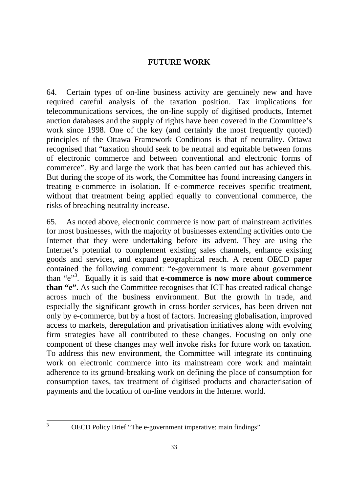#### **FUTURE WORK**

64. Certain types of on-line business activity are genuinely new and have required careful analysis of the taxation position. Tax implications for telecommunications services, the on-line supply of digitised products, Internet auction databases and the supply of rights have been covered in the Committee's work since 1998. One of the key (and certainly the most frequently quoted) principles of the Ottawa Framework Conditions is that of neutrality. Ottawa recognised that "taxation should seek to be neutral and equitable between forms of electronic commerce and between conventional and electronic forms of commerce". By and large the work that has been carried out has achieved this. But during the scope of its work, the Committee has found increasing dangers in treating e-commerce in isolation. If e-commerce receives specific treatment, without that treatment being applied equally to conventional commerce, the risks of breaching neutrality increase.

65. As noted above, electronic commerce is now part of mainstream activities for most businesses, with the majority of businesses extending activities onto the Internet that they were undertaking before its advent. They are using the Internet's potential to complement existing sales channels, enhance existing goods and services, and expand geographical reach. A recent OECD paper contained the following comment: "e-government is more about government than "e"<sup>3</sup>. Equally it is said that **e-commerce is now more about commerce than "e".** As such the Committee recognises that ICT has created radical change across much of the business environment. But the growth in trade, and especially the significant growth in cross-border services, has been driven not only by e-commerce, but by a host of factors. Increasing globalisation, improved access to markets, deregulation and privatisation initiatives along with evolving firm strategies have all contributed to these changes. Focusing on only one component of these changes may well invoke risks for future work on taxation. To address this new environment, the Committee will integrate its continuing work on electronic commerce into its mainstream core work and maintain adherence to its ground-breaking work on defining the place of consumption for consumption taxes, tax treatment of digitised products and characterisation of payments and the location of on-line vendors in the Internet world.

 $\frac{1}{3}$ 

OECD Policy Brief "The e-government imperative: main findings"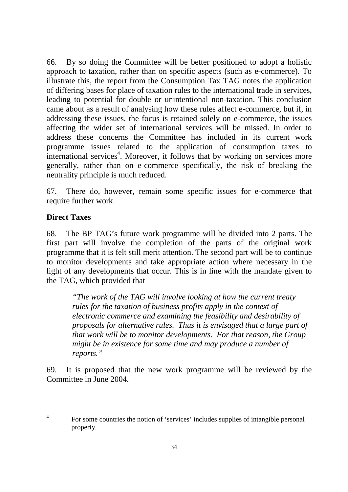66. By so doing the Committee will be better positioned to adopt a holistic approach to taxation, rather than on specific aspects (such as e-commerce). To illustrate this, the report from the Consumption Tax TAG notes the application of differing bases for place of taxation rules to the international trade in services, leading to potential for double or unintentional non-taxation. This conclusion came about as a result of analysing how these rules affect e-commerce, but if, in addressing these issues, the focus is retained solely on e-commerce, the issues affecting the wider set of international services will be missed. In order to address these concerns the Committee has included in its current work programme issues related to the application of consumption taxes to international services<sup>4</sup>. Moreover, it follows that by working on services more generally, rather than on e-commerce specifically, the risk of breaking the neutrality principle is much reduced.

67. There do, however, remain some specific issues for e-commerce that require further work.

#### **Direct Taxes**

68. The BP TAG's future work programme will be divided into 2 parts. The first part will involve the completion of the parts of the original work programme that it is felt still merit attention. The second part will be to continue to monitor developments and take appropriate action where necessary in the light of any developments that occur. This is in line with the mandate given to the TAG, which provided that

*"The work of the TAG will involve looking at how the current treaty rules for the taxation of business profits apply in the context of electronic commerce and examining the feasibility and desirability of proposals for alternative rules. Thus it is envisaged that a large part of that work will be to monitor developments. For that reason, the Group might be in existence for some time and may produce a number of reports."* 

69. It is proposed that the new work programme will be reviewed by the Committee in June 2004.

 $\frac{1}{4}$  For some countries the notion of 'services' includes supplies of intangible personal property.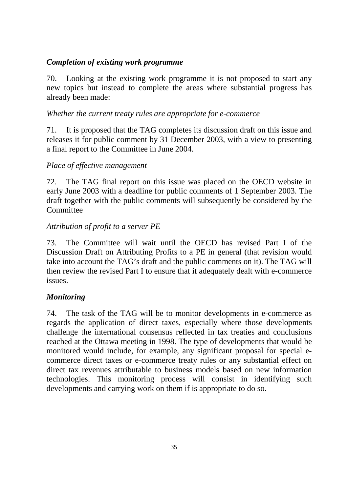#### *Completion of existing work programme*

70. Looking at the existing work programme it is not proposed to start any new topics but instead to complete the areas where substantial progress has already been made:

#### *Whether the current treaty rules are appropriate for e-commerce*

71. It is proposed that the TAG completes its discussion draft on this issue and releases it for public comment by 31 December 2003, with a view to presenting a final report to the Committee in June 2004.

#### *Place of effective management*

72. The TAG final report on this issue was placed on the OECD website in early June 2003 with a deadline for public comments of 1 September 2003. The draft together with the public comments will subsequently be considered by the **Committee** 

#### *Attribution of profit to a server PE*

73. The Committee will wait until the OECD has revised Part I of the Discussion Draft on Attributing Profits to a PE in general (that revision would take into account the TAG's draft and the public comments on it). The TAG will then review the revised Part I to ensure that it adequately dealt with e-commerce issues.

#### *Monitoring*

74. The task of the TAG will be to monitor developments in e-commerce as regards the application of direct taxes, especially where those developments challenge the international consensus reflected in tax treaties and conclusions reached at the Ottawa meeting in 1998. The type of developments that would be monitored would include, for example, any significant proposal for special ecommerce direct taxes or e-commerce treaty rules or any substantial effect on direct tax revenues attributable to business models based on new information technologies. This monitoring process will consist in identifying such developments and carrying work on them if is appropriate to do so.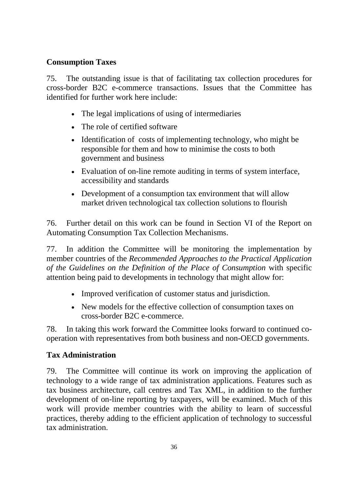#### **Consumption Taxes**

75. The outstanding issue is that of facilitating tax collection procedures for cross-border B2C e-commerce transactions. Issues that the Committee has identified for further work here include:

- The legal implications of using of intermediaries
- The role of certified software
- Identification of costs of implementing technology, who might be responsible for them and how to minimise the costs to both government and business
- Evaluation of on-line remote auditing in terms of system interface, accessibility and standards
- Development of a consumption tax environment that will allow market driven technological tax collection solutions to flourish

76. Further detail on this work can be found in Section VI of the Report on Automating Consumption Tax Collection Mechanisms.

77. In addition the Committee will be monitoring the implementation by member countries of the *Recommended Approaches to the Practical Application of the Guidelines on the Definition of the Place of Consumption* with specific attention being paid to developments in technology that might allow for:

- Improved verification of customer status and jurisdiction.
- New models for the effective collection of consumption taxes on cross-border B2C e-commerce.

78. In taking this work forward the Committee looks forward to continued cooperation with representatives from both business and non-OECD governments.

## **Tax Administration**

79. The Committee will continue its work on improving the application of technology to a wide range of tax administration applications. Features such as tax business architecture, call centres and Tax XML, in addition to the further development of on-line reporting by taxpayers, will be examined. Much of this work will provide member countries with the ability to learn of successful practices, thereby adding to the efficient application of technology to successful tax administration.